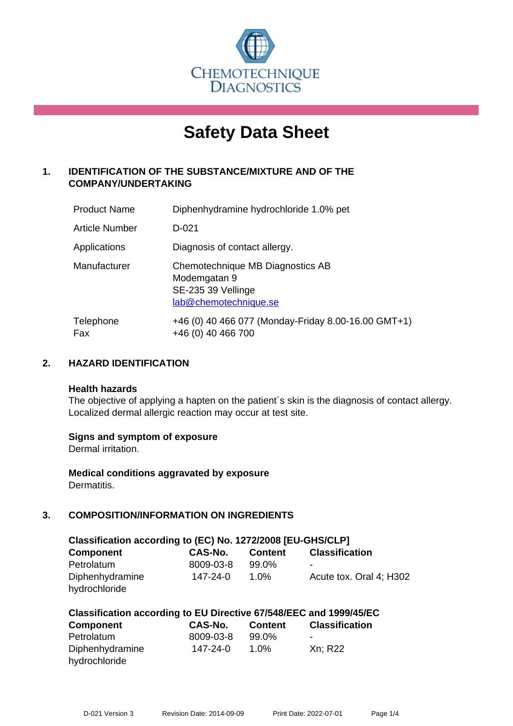

# **Safety Data Sheet**

# **1. IDENTIFICATION OF THE SUBSTANCE/MIXTURE AND OF THE COMPANY/UNDERTAKING**

| <b>Product Name</b>   | Diphenhydramine hydrochloride 1.0% pet                                                          |
|-----------------------|-------------------------------------------------------------------------------------------------|
| <b>Article Number</b> | D-021                                                                                           |
| Applications          | Diagnosis of contact allergy.                                                                   |
| Manufacturer          | Chemotechnique MB Diagnostics AB<br>Modemgatan 9<br>SE-235 39 Vellinge<br>lab@chemotechnique.se |
| Telephone<br>Fax      | +46 (0) 40 466 077 (Monday-Friday 8.00-16.00 GMT+1)<br>+46 (0) 40 466 700                       |

## **2. HAZARD IDENTIFICATION**

#### **Health hazards**

The objective of applying a hapten on the patient's skin is the diagnosis of contact allergy. Localized dermal allergic reaction may occur at test site.

## **Signs and symptom of exposure**

Dermal irritation.

**Medical conditions aggravated by exposure** Dermatitis.

# **3. COMPOSITION/INFORMATION ON INGREDIENTS**

| Classification according to (EC) No. 1272/2008 [EU-GHS/CLP] |           |                |                         |  |  |
|-------------------------------------------------------------|-----------|----------------|-------------------------|--|--|
| <b>Component</b>                                            | CAS-No.   | <b>Content</b> | <b>Classification</b>   |  |  |
| Petrolatum                                                  | 8009-03-8 | 99.0%          | -                       |  |  |
| Diphenhydramine                                             | 147-24-0  | 1.0%           | Acute tox. Oral 4; H302 |  |  |
| hydrochloride                                               |           |                |                         |  |  |

| Classification according to EU Directive 67/548/EEC and 1999/45/EC |           |                |                       |  |  |
|--------------------------------------------------------------------|-----------|----------------|-----------------------|--|--|
| <b>Component</b>                                                   | CAS-No.   | <b>Content</b> | <b>Classification</b> |  |  |
| Petrolatum                                                         | 8009-03-8 | 99.0%          | -                     |  |  |
| Diphenhydramine                                                    | 147-24-0  | $1.0\%$        | Xn; R22               |  |  |
| hydrochloride                                                      |           |                |                       |  |  |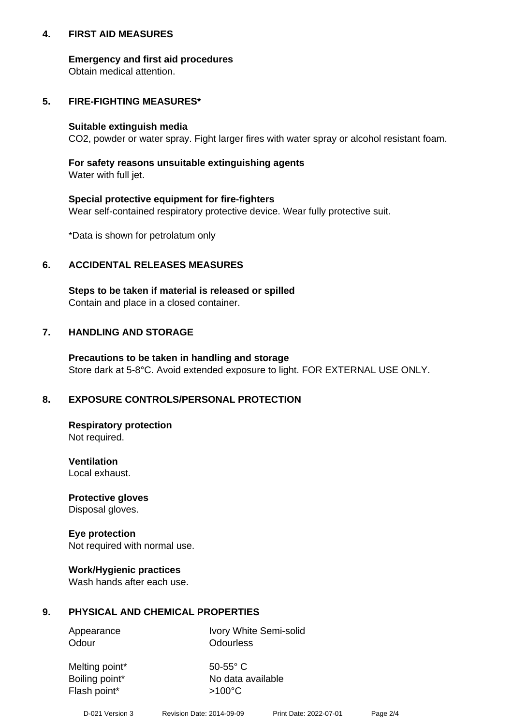## **4. FIRST AID MEASURES**

## **Emergency and first aid procedures**

Obtain medical attention.

# **5. FIRE-FIGHTING MEASURES\***

#### **Suitable extinguish media**

CO2, powder or water spray. Fight larger fires with water spray or alcohol resistant foam.

# **For safety reasons unsuitable extinguishing agents**

Water with full jet.

## **Special protective equipment for fire-fighters**

Wear self-contained respiratory protective device. Wear fully protective suit.

\*Data is shown for petrolatum only

## **6. ACCIDENTAL RELEASES MEASURES**

**Steps to be taken if material is released or spilled** Contain and place in a closed container.

# **7. HANDLING AND STORAGE**

**Precautions to be taken in handling and storage** Store dark at 5-8°C. Avoid extended exposure to light. FOR EXTERNAL USE ONLY.

# **8. EXPOSURE CONTROLS/PERSONAL PROTECTION**

**Respiratory protection** Not required.

**Ventilation** Local exhaust.

**Protective gloves** Disposal gloves.

#### **Eye protection** Not required with normal use.

## **Work/Hygienic practices**

Wash hands after each use.

## **9. PHYSICAL AND CHEMICAL PROPERTIES**

Odour **Odourless** 

Appearance Ivory White Semi-solid

Melting point\* 50-55° C Flash point\*  $>100^{\circ}$ C

Boiling point\* No data available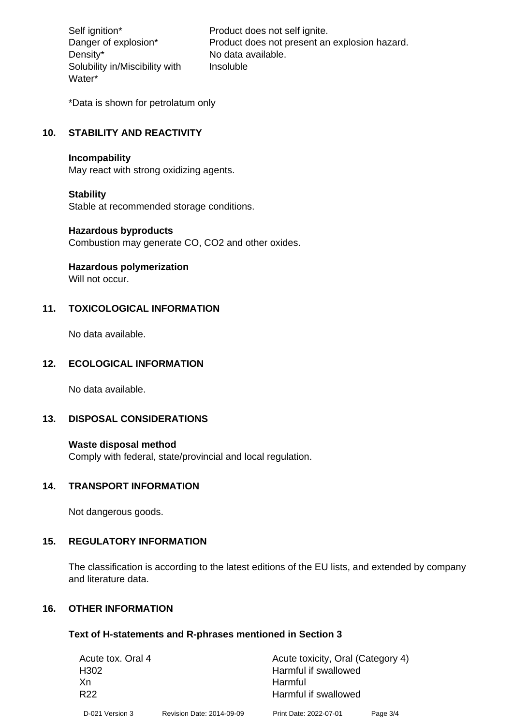Density\* No data available. Solubility in/Miscibility with Water\*

Self ignition\* Product does not self ignite. Danger of explosion\* Product does not present an explosion hazard. Insoluble

\*Data is shown for petrolatum only

# **10. STABILITY AND REACTIVITY**

#### **Incompability**

May react with strong oxidizing agents.

#### **Stability**

Stable at recommended storage conditions.

#### **Hazardous byproducts**

Combustion may generate CO, CO2 and other oxides.

**Hazardous polymerization**

Will not occur.

## **11. TOXICOLOGICAL INFORMATION**

No data available.

#### **12. ECOLOGICAL INFORMATION**

No data available.

## **13. DISPOSAL CONSIDERATIONS**

#### **Waste disposal method**

Comply with federal, state/provincial and local regulation.

#### **14. TRANSPORT INFORMATION**

Not dangerous goods.

## **15. REGULATORY INFORMATION**

The classification is according to the latest editions of the EU lists, and extended by company and literature data.

#### **16. OTHER INFORMATION**

#### **Text of H-statements and R-phrases mentioned in Section 3**

| Acute tox. Oral 4 |                           | Acute toxicity, Oral (Category 4) |          |  |
|-------------------|---------------------------|-----------------------------------|----------|--|
| H <sub>302</sub>  |                           | Harmful if swallowed              |          |  |
| Xn                |                           | Harmful                           |          |  |
| R <sub>22</sub>   |                           | Harmful if swallowed              |          |  |
| D-021 Version 3   | Revision Date: 2014-09-09 | Print Date: 2022-07-01            | Page 3/4 |  |